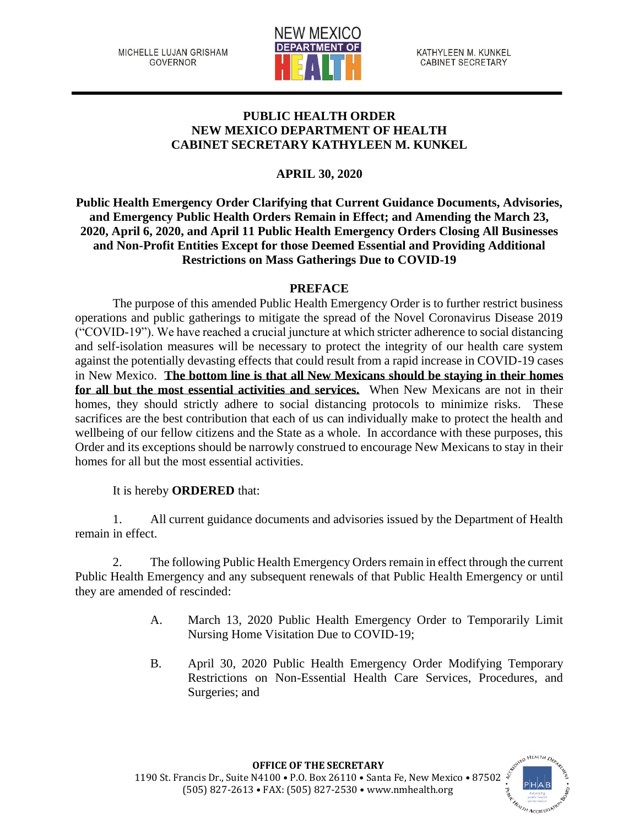MICHELLE LUJAN GRISHAM **GOVERNOR** 



KATHYLEEN M. KUNKEL **CABINET SECRETARY** 

# **PUBLIC HEALTH ORDER NEW MEXICO DEPARTMENT OF HEALTH CABINET SECRETARY KATHYLEEN M. KUNKEL**

# **APRIL 30, 2020**

**Public Health Emergency Order Clarifying that Current Guidance Documents, Advisories, and Emergency Public Health Orders Remain in Effect; and Amending the March 23, 2020, April 6, 2020, and April 11 Public Health Emergency Orders Closing All Businesses and Non-Profit Entities Except for those Deemed Essential and Providing Additional Restrictions on Mass Gatherings Due to COVID-19**

# **PREFACE**

The purpose of this amended Public Health Emergency Order is to further restrict business operations and public gatherings to mitigate the spread of the Novel Coronavirus Disease 2019 ("COVID-19"). We have reached a crucial juncture at which stricter adherence to social distancing and self-isolation measures will be necessary to protect the integrity of our health care system against the potentially devasting effects that could result from a rapid increase in COVID-19 cases in New Mexico. **The bottom line is that all New Mexicans should be staying in their homes for all but the most essential activities and services.** When New Mexicans are not in their homes, they should strictly adhere to social distancing protocols to minimize risks. These sacrifices are the best contribution that each of us can individually make to protect the health and wellbeing of our fellow citizens and the State as a whole. In accordance with these purposes, this Order and its exceptions should be narrowly construed to encourage New Mexicans to stay in their homes for all but the most essential activities.

It is hereby **ORDERED** that:

1. All current guidance documents and advisories issued by the Department of Health remain in effect.

2. The following Public Health Emergency Orders remain in effect through the current Public Health Emergency and any subsequent renewals of that Public Health Emergency or until they are amended of rescinded:

- A. March 13, 2020 Public Health Emergency Order to Temporarily Limit Nursing Home Visitation Due to COVID-19;
- B. April 30, 2020 Public Health Emergency Order Modifying Temporary Restrictions on Non-Essential Health Care Services, Procedures, and Surgeries; and

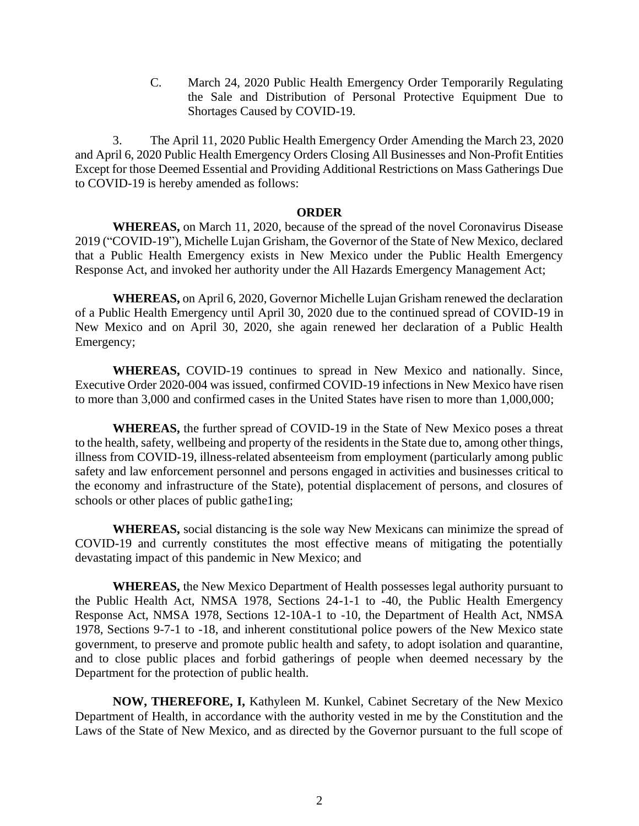C. March 24, 2020 Public Health Emergency Order Temporarily Regulating the Sale and Distribution of Personal Protective Equipment Due to Shortages Caused by COVID-19.

3. The April 11, 2020 Public Health Emergency Order Amending the March 23, 2020 and April 6, 2020 Public Health Emergency Orders Closing All Businesses and Non-Profit Entities Except for those Deemed Essential and Providing Additional Restrictions on Mass Gatherings Due to COVID-19 is hereby amended as follows:

#### **ORDER**

**WHEREAS,** on March 11, 2020, because of the spread of the novel Coronavirus Disease 2019 ("COVID-19"), Michelle Lujan Grisham, the Governor of the State of New Mexico, declared that a Public Health Emergency exists in New Mexico under the Public Health Emergency Response Act, and invoked her authority under the All Hazards Emergency Management Act;

**WHEREAS,** on April 6, 2020, Governor Michelle Lujan Grisham renewed the declaration of a Public Health Emergency until April 30, 2020 due to the continued spread of COVID-19 in New Mexico and on April 30, 2020, she again renewed her declaration of a Public Health Emergency;

**WHEREAS,** COVID-19 continues to spread in New Mexico and nationally. Since, Executive Order 2020-004 was issued, confirmed COVID-19 infections in New Mexico have risen to more than 3,000 and confirmed cases in the United States have risen to more than 1,000,000;

**WHEREAS,** the further spread of COVID-19 in the State of New Mexico poses a threat to the health, safety, wellbeing and property of the residents in the State due to, among other things, illness from COVID-19, illness-related absenteeism from employment (particularly among public safety and law enforcement personnel and persons engaged in activities and businesses critical to the economy and infrastructure of the State), potential displacement of persons, and closures of schools or other places of public gathe1ing;

**WHEREAS,** social distancing is the sole way New Mexicans can minimize the spread of COVID-19 and currently constitutes the most effective means of mitigating the potentially devastating impact of this pandemic in New Mexico; and

**WHEREAS,** the New Mexico Department of Health possesses legal authority pursuant to the Public Health Act, NMSA 1978, Sections 24-1-1 to -40, the Public Health Emergency Response Act, NMSA 1978, Sections 12-10A-1 to -10, the Department of Health Act, NMSA 1978, Sections 9-7-1 to -18, and inherent constitutional police powers of the New Mexico state government, to preserve and promote public health and safety, to adopt isolation and quarantine, and to close public places and forbid gatherings of people when deemed necessary by the Department for the protection of public health.

**NOW, THEREFORE, I,** Kathyleen M. Kunkel, Cabinet Secretary of the New Mexico Department of Health, in accordance with the authority vested in me by the Constitution and the Laws of the State of New Mexico, and as directed by the Governor pursuant to the full scope of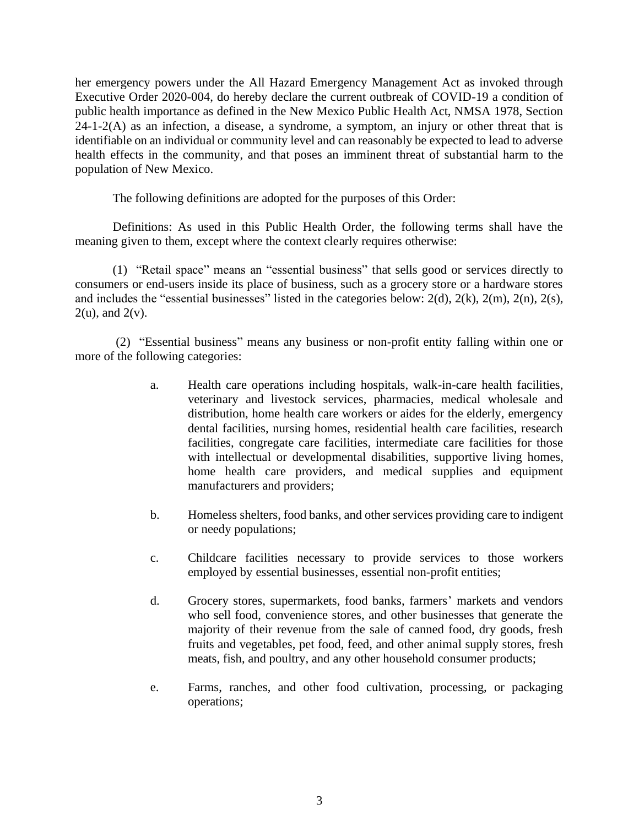her emergency powers under the All Hazard Emergency Management Act as invoked through Executive Order 2020-004, do hereby declare the current outbreak of COVID-19 a condition of public health importance as defined in the New Mexico Public Health Act, NMSA 1978, Section  $24-1-2(A)$  as an infection, a disease, a syndrome, a symptom, an injury or other threat that is identifiable on an individual or community level and can reasonably be expected to lead to adverse health effects in the community, and that poses an imminent threat of substantial harm to the population of New Mexico.

The following definitions are adopted for the purposes of this Order:

Definitions: As used in this Public Health Order, the following terms shall have the meaning given to them, except where the context clearly requires otherwise:

(1) "Retail space" means an "essential business" that sells good or services directly to consumers or end-users inside its place of business, such as a grocery store or a hardware stores and includes the "essential businesses" listed in the categories below: 2(d), 2(k), 2(m), 2(n), 2(s),  $2(u)$ , and  $2(v)$ .

(2) "Essential business" means any business or non-profit entity falling within one or more of the following categories:

- a. Health care operations including hospitals, walk-in-care health facilities, veterinary and livestock services, pharmacies, medical wholesale and distribution, home health care workers or aides for the elderly, emergency dental facilities, nursing homes, residential health care facilities, research facilities, congregate care facilities, intermediate care facilities for those with intellectual or developmental disabilities, supportive living homes, home health care providers, and medical supplies and equipment manufacturers and providers;
- b. Homeless shelters, food banks, and other services providing care to indigent or needy populations;
- c. Childcare facilities necessary to provide services to those workers employed by essential businesses, essential non-profit entities;
- d. Grocery stores, supermarkets, food banks, farmers' markets and vendors who sell food, convenience stores, and other businesses that generate the majority of their revenue from the sale of canned food, dry goods, fresh fruits and vegetables, pet food, feed, and other animal supply stores, fresh meats, fish, and poultry, and any other household consumer products;
- e. Farms, ranches, and other food cultivation, processing, or packaging operations;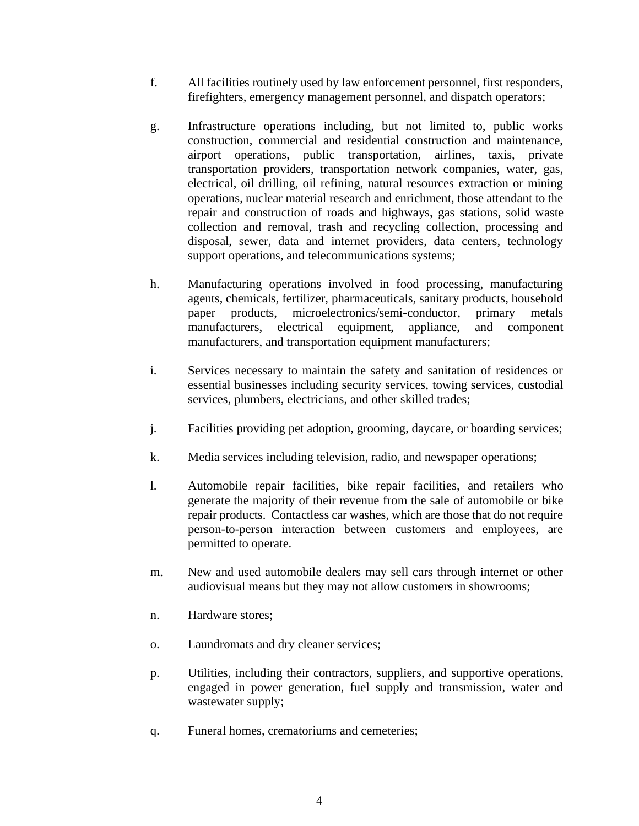- f. All facilities routinely used by law enforcement personnel, first responders, firefighters, emergency management personnel, and dispatch operators;
- g. Infrastructure operations including, but not limited to, public works construction, commercial and residential construction and maintenance, airport operations, public transportation, airlines, taxis, private transportation providers, transportation network companies, water, gas, electrical, oil drilling, oil refining, natural resources extraction or mining operations, nuclear material research and enrichment, those attendant to the repair and construction of roads and highways, gas stations, solid waste collection and removal, trash and recycling collection, processing and disposal, sewer, data and internet providers, data centers, technology support operations, and telecommunications systems;
- h. Manufacturing operations involved in food processing, manufacturing agents, chemicals, fertilizer, pharmaceuticals, sanitary products, household paper products, microelectronics/semi-conductor, primary metals manufacturers, electrical equipment, appliance, and component manufacturers, and transportation equipment manufacturers;
- i. Services necessary to maintain the safety and sanitation of residences or essential businesses including security services, towing services, custodial services, plumbers, electricians, and other skilled trades;
- j. Facilities providing pet adoption, grooming, daycare, or boarding services;
- k. Media services including television, radio, and newspaper operations;
- l. Automobile repair facilities, bike repair facilities, and retailers who generate the majority of their revenue from the sale of automobile or bike repair products. Contactless car washes, which are those that do not require person-to-person interaction between customers and employees, are permitted to operate.
- m. New and used automobile dealers may sell cars through internet or other audiovisual means but they may not allow customers in showrooms;
- n. Hardware stores;
- o. Laundromats and dry cleaner services;
- p. Utilities, including their contractors, suppliers, and supportive operations, engaged in power generation, fuel supply and transmission, water and wastewater supply;
- q. Funeral homes, crematoriums and cemeteries;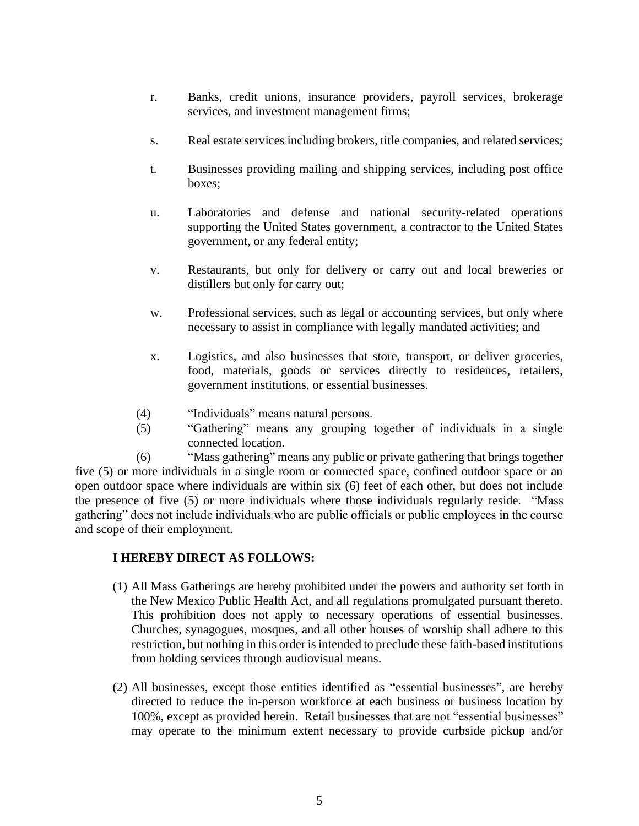- r. Banks, credit unions, insurance providers, payroll services, brokerage services, and investment management firms;
- s. Real estate services including brokers, title companies, and related services;
- t. Businesses providing mailing and shipping services, including post office boxes;
- u. Laboratories and defense and national security-related operations supporting the United States government, a contractor to the United States government, or any federal entity;
- v. Restaurants, but only for delivery or carry out and local breweries or distillers but only for carry out;
- w. Professional services, such as legal or accounting services, but only where necessary to assist in compliance with legally mandated activities; and
- x. Logistics, and also businesses that store, transport, or deliver groceries, food, materials, goods or services directly to residences, retailers, government institutions, or essential businesses.
- (4) "Individuals" means natural persons.
- (5) "Gathering" means any grouping together of individuals in a single connected location.

(6) "Mass gathering" means any public or private gathering that brings together five (5) or more individuals in a single room or connected space, confined outdoor space or an open outdoor space where individuals are within six (6) feet of each other, but does not include the presence of five (5) or more individuals where those individuals regularly reside. "Mass gathering" does not include individuals who are public officials or public employees in the course and scope of their employment.

### **I HEREBY DIRECT AS FOLLOWS:**

- (1) All Mass Gatherings are hereby prohibited under the powers and authority set forth in the New Mexico Public Health Act, and all regulations promulgated pursuant thereto. This prohibition does not apply to necessary operations of essential businesses. Churches, synagogues, mosques, and all other houses of worship shall adhere to this restriction, but nothing in this order is intended to preclude these faith-based institutions from holding services through audiovisual means.
- (2) All businesses, except those entities identified as "essential businesses", are hereby directed to reduce the in-person workforce at each business or business location by 100%, except as provided herein. Retail businesses that are not "essential businesses" may operate to the minimum extent necessary to provide curbside pickup and/or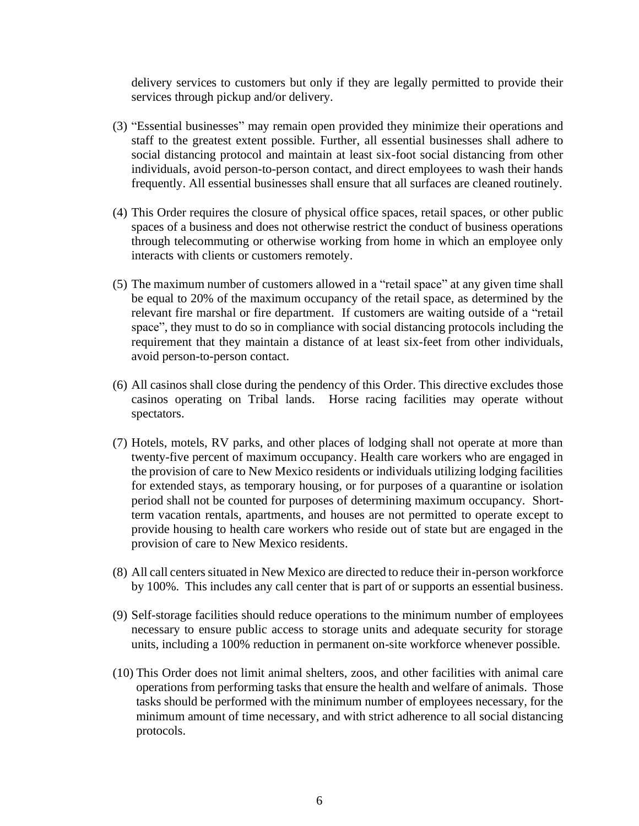delivery services to customers but only if they are legally permitted to provide their services through pickup and/or delivery.

- (3) "Essential businesses" may remain open provided they minimize their operations and staff to the greatest extent possible. Further, all essential businesses shall adhere to social distancing protocol and maintain at least six-foot social distancing from other individuals, avoid person-to-person contact, and direct employees to wash their hands frequently. All essential businesses shall ensure that all surfaces are cleaned routinely.
- (4) This Order requires the closure of physical office spaces, retail spaces, or other public spaces of a business and does not otherwise restrict the conduct of business operations through telecommuting or otherwise working from home in which an employee only interacts with clients or customers remotely.
- (5) The maximum number of customers allowed in a "retail space" at any given time shall be equal to 20% of the maximum occupancy of the retail space, as determined by the relevant fire marshal or fire department. If customers are waiting outside of a "retail space", they must to do so in compliance with social distancing protocols including the requirement that they maintain a distance of at least six-feet from other individuals, avoid person-to-person contact.
- (6) All casinos shall close during the pendency of this Order. This directive excludes those casinos operating on Tribal lands. Horse racing facilities may operate without spectators.
- (7) Hotels, motels, RV parks, and other places of lodging shall not operate at more than twenty-five percent of maximum occupancy. Health care workers who are engaged in the provision of care to New Mexico residents or individuals utilizing lodging facilities for extended stays, as temporary housing, or for purposes of a quarantine or isolation period shall not be counted for purposes of determining maximum occupancy. Shortterm vacation rentals, apartments, and houses are not permitted to operate except to provide housing to health care workers who reside out of state but are engaged in the provision of care to New Mexico residents.
- (8) All call centers situated in New Mexico are directed to reduce their in-person workforce by 100%. This includes any call center that is part of or supports an essential business.
- (9) Self-storage facilities should reduce operations to the minimum number of employees necessary to ensure public access to storage units and adequate security for storage units, including a 100% reduction in permanent on-site workforce whenever possible.
- (10) This Order does not limit animal shelters, zoos, and other facilities with animal care operations from performing tasks that ensure the health and welfare of animals. Those tasks should be performed with the minimum number of employees necessary, for the minimum amount of time necessary, and with strict adherence to all social distancing protocols.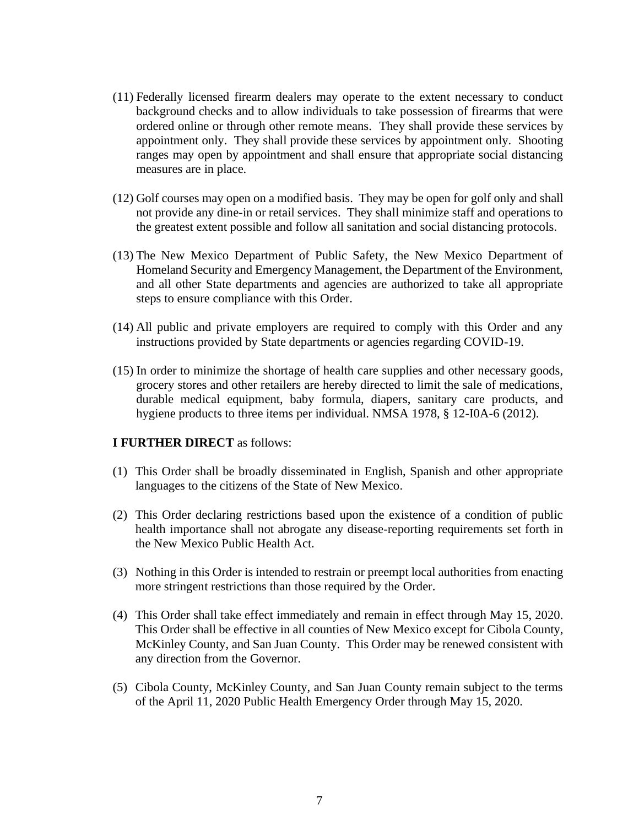- (11) Federally licensed firearm dealers may operate to the extent necessary to conduct background checks and to allow individuals to take possession of firearms that were ordered online or through other remote means. They shall provide these services by appointment only. They shall provide these services by appointment only. Shooting ranges may open by appointment and shall ensure that appropriate social distancing measures are in place.
- (12) Golf courses may open on a modified basis. They may be open for golf only and shall not provide any dine-in or retail services. They shall minimize staff and operations to the greatest extent possible and follow all sanitation and social distancing protocols.
- (13) The New Mexico Department of Public Safety, the New Mexico Department of Homeland Security and Emergency Management, the Department of the Environment, and all other State departments and agencies are authorized to take all appropriate steps to ensure compliance with this Order.
- (14) All public and private employers are required to comply with this Order and any instructions provided by State departments or agencies regarding COVID-19.
- (15) In order to minimize the shortage of health care supplies and other necessary goods, grocery stores and other retailers are hereby directed to limit the sale of medications, durable medical equipment, baby formula, diapers, sanitary care products, and hygiene products to three items per individual. NMSA 1978, § 12-I0A-6 (2012).

#### **I FURTHER DIRECT** as follows:

- (1) This Order shall be broadly disseminated in English, Spanish and other appropriate languages to the citizens of the State of New Mexico.
- (2) This Order declaring restrictions based upon the existence of a condition of public health importance shall not abrogate any disease-reporting requirements set forth in the New Mexico Public Health Act.
- (3) Nothing in this Order is intended to restrain or preempt local authorities from enacting more stringent restrictions than those required by the Order.
- (4) This Order shall take effect immediately and remain in effect through May 15, 2020. This Order shall be effective in all counties of New Mexico except for Cibola County, McKinley County, and San Juan County. This Order may be renewed consistent with any direction from the Governor.
- (5) Cibola County, McKinley County, and San Juan County remain subject to the terms of the April 11, 2020 Public Health Emergency Order through May 15, 2020.